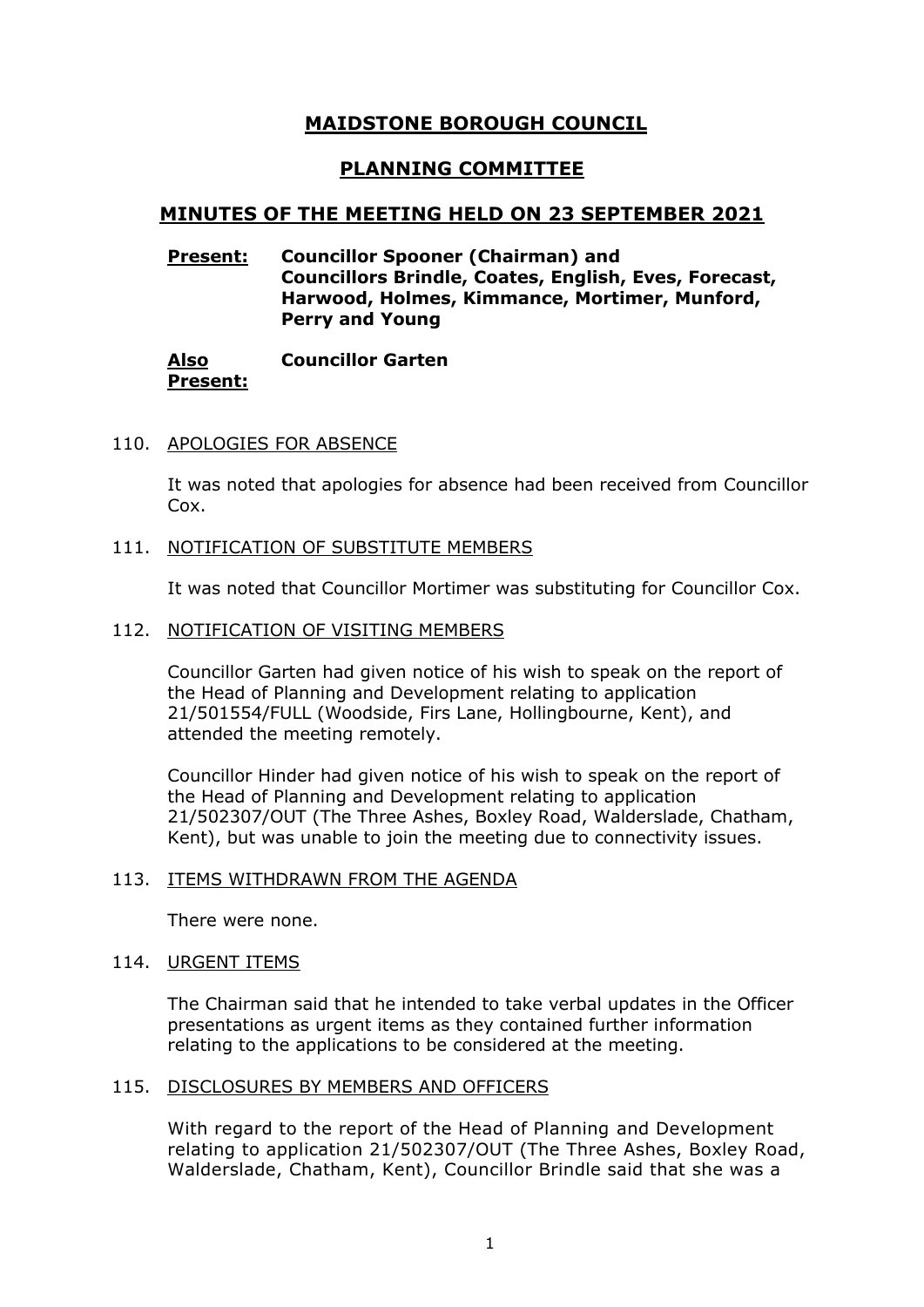# **MAIDSTONE BOROUGH COUNCIL**

# **PLANNING COMMITTEE**

# **MINUTES OF THE MEETING HELD ON 23 SEPTEMBER 2021**

## **Present: Councillor Spooner (Chairman) and Councillors Brindle, Coates, English, Eves, Forecast, Harwood, Holmes, Kimmance, Mortimer, Munford, Perry and Young**

#### **Also Present: Councillor Garten**

## 110. APOLOGIES FOR ABSENCE

It was noted that apologies for absence had been received from Councillor Cox.

#### 111. NOTIFICATION OF SUBSTITUTE MEMBERS

It was noted that Councillor Mortimer was substituting for Councillor Cox.

#### 112. NOTIFICATION OF VISITING MEMBERS

Councillor Garten had given notice of his wish to speak on the report of the Head of Planning and Development relating to application 21/501554/FULL (Woodside, Firs Lane, Hollingbourne, Kent), and attended the meeting remotely.

Councillor Hinder had given notice of his wish to speak on the report of the Head of Planning and Development relating to application 21/502307/OUT (The Three Ashes, Boxley Road, Walderslade, Chatham, Kent), but was unable to join the meeting due to connectivity issues.

#### 113. ITEMS WITHDRAWN FROM THE AGENDA

There were none.

#### 114. URGENT ITEMS

The Chairman said that he intended to take verbal updates in the Officer presentations as urgent items as they contained further information relating to the applications to be considered at the meeting.

#### 115. DISCLOSURES BY MEMBERS AND OFFICERS

With regard to the report of the Head of Planning and Development relating to application 21/502307/OUT (The Three Ashes, Boxley Road, Walderslade, Chatham, Kent), Councillor Brindle said that she was a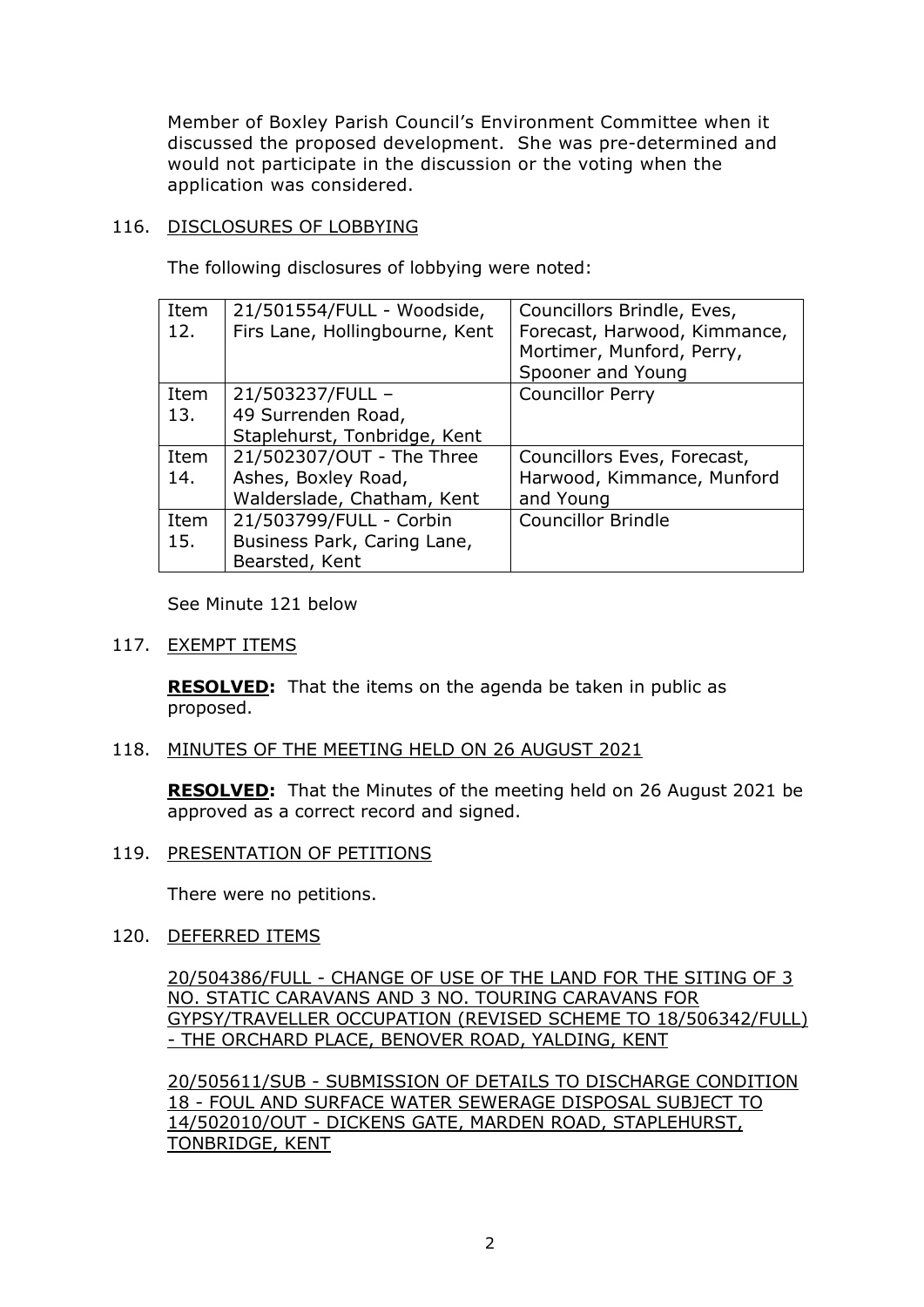Member of Boxley Parish Council's Environment Committee when it discussed the proposed development. She was pre-determined and would not participate in the discussion or the voting when the application was considered.

## 116. DISCLOSURES OF LOBBYING

The following disclosures of lobbying were noted:

| Item<br>12. | 21/501554/FULL - Woodside,<br>Firs Lane, Hollingbourne, Kent | Councillors Brindle, Eves,<br>Forecast, Harwood, Kimmance,<br>Mortimer, Munford, Perry,<br>Spooner and Young |
|-------------|--------------------------------------------------------------|--------------------------------------------------------------------------------------------------------------|
| Item        | 21/503237/FULL -                                             | <b>Councillor Perry</b>                                                                                      |
| 13.         | 49 Surrenden Road,                                           |                                                                                                              |
|             | Staplehurst, Tonbridge, Kent                                 |                                                                                                              |
| Item        | 21/502307/OUT - The Three                                    | Councillors Eves, Forecast,                                                                                  |
| 14.         | Ashes, Boxley Road,                                          | Harwood, Kimmance, Munford                                                                                   |
|             | Walderslade, Chatham, Kent                                   | and Young                                                                                                    |
| Item        | 21/503799/FULL - Corbin                                      | <b>Councillor Brindle</b>                                                                                    |
| 15.         | Business Park, Caring Lane,                                  |                                                                                                              |
|             | Bearsted, Kent                                               |                                                                                                              |

See Minute 121 below

## 117. EXEMPT ITEMS

**RESOLVED:** That the items on the agenda be taken in public as proposed.

## 118. MINUTES OF THE MEETING HELD ON 26 AUGUST 2021

**RESOLVED:** That the Minutes of the meeting held on 26 August 2021 be approved as a correct record and signed.

119. PRESENTATION OF PETITIONS

There were no petitions.

120. DEFERRED ITEMS

20/504386/FULL - CHANGE OF USE OF THE LAND FOR THE SITING OF 3 NO. STATIC CARAVANS AND 3 NO. TOURING CARAVANS FOR GYPSY/TRAVELLER OCCUPATION (REVISED SCHEME TO 18/506342/FULL) - THE ORCHARD PLACE, BENOVER ROAD, YALDING, KENT

20/505611/SUB - SUBMISSION OF DETAILS TO DISCHARGE CONDITION 18 - FOUL AND SURFACE WATER SEWERAGE DISPOSAL SUBJECT TO 14/502010/OUT - DICKENS GATE, MARDEN ROAD, STAPLEHURST, TONBRIDGE, KENT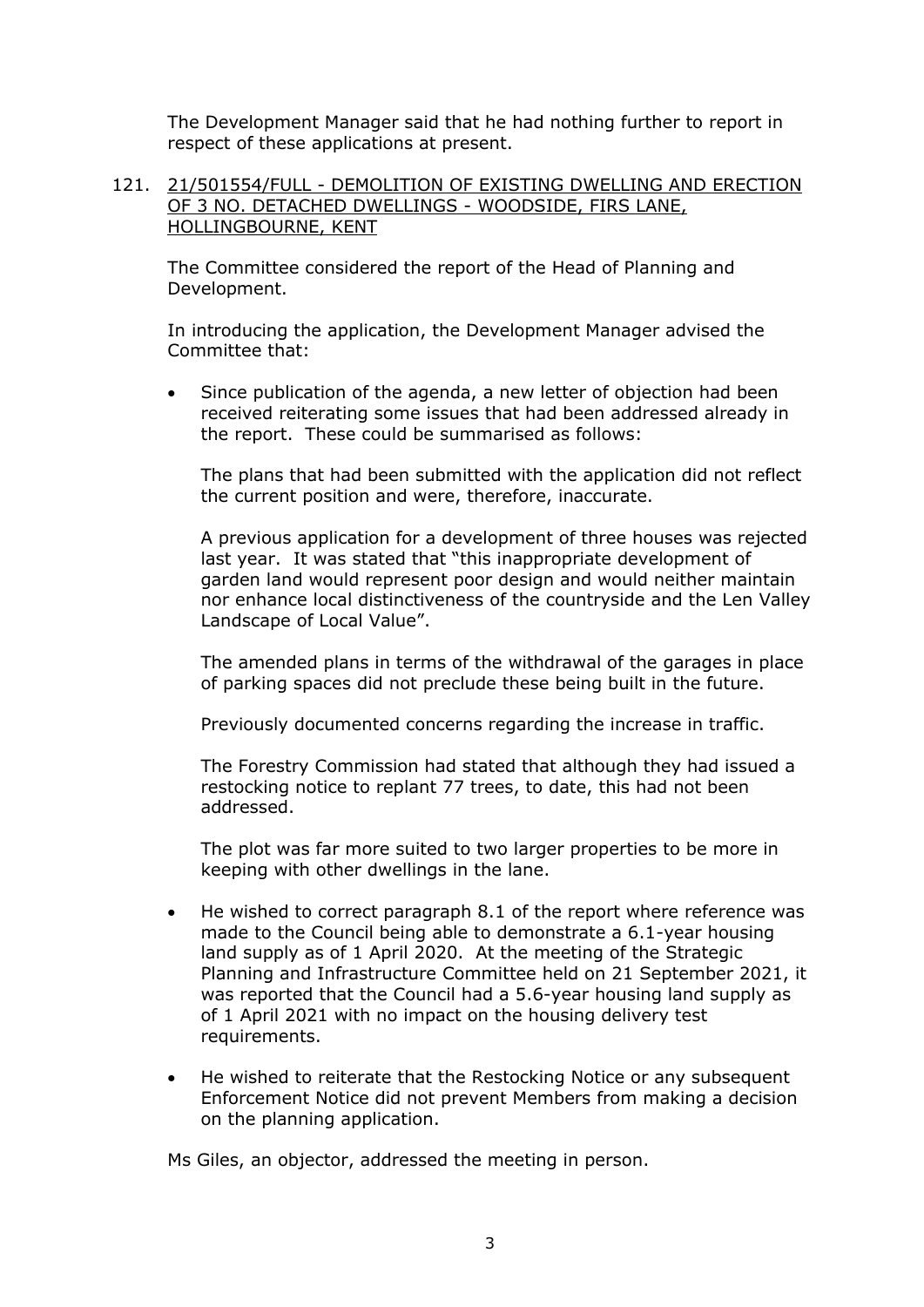The Development Manager said that he had nothing further to report in respect of these applications at present.

#### 121. 21/501554/FULL - DEMOLITION OF EXISTING DWELLING AND ERECTION OF 3 NO. DETACHED DWELLINGS - WOODSIDE, FIRS LANE, HOLLINGBOURNE, KENT

The Committee considered the report of the Head of Planning and Development.

In introducing the application, the Development Manager advised the Committee that:

Since publication of the agenda, a new letter of objection had been received reiterating some issues that had been addressed already in the report. These could be summarised as follows:

The plans that had been submitted with the application did not reflect the current position and were, therefore, inaccurate.

A previous application for a development of three houses was rejected last year. It was stated that "this inappropriate development of garden land would represent poor design and would neither maintain nor enhance local distinctiveness of the countryside and the Len Valley Landscape of Local Value".

The amended plans in terms of the withdrawal of the garages in place of parking spaces did not preclude these being built in the future.

Previously documented concerns regarding the increase in traffic.

The Forestry Commission had stated that although they had issued a restocking notice to replant 77 trees, to date, this had not been addressed.

The plot was far more suited to two larger properties to be more in keeping with other dwellings in the lane.

- He wished to correct paragraph 8.1 of the report where reference was made to the Council being able to demonstrate a 6.1-year housing land supply as of 1 April 2020. At the meeting of the Strategic Planning and Infrastructure Committee held on 21 September 2021, it was reported that the Council had a 5.6-year housing land supply as of 1 April 2021 with no impact on the housing delivery test requirements.
- He wished to reiterate that the Restocking Notice or any subsequent Enforcement Notice did not prevent Members from making a decision on the planning application.

Ms Giles, an objector, addressed the meeting in person.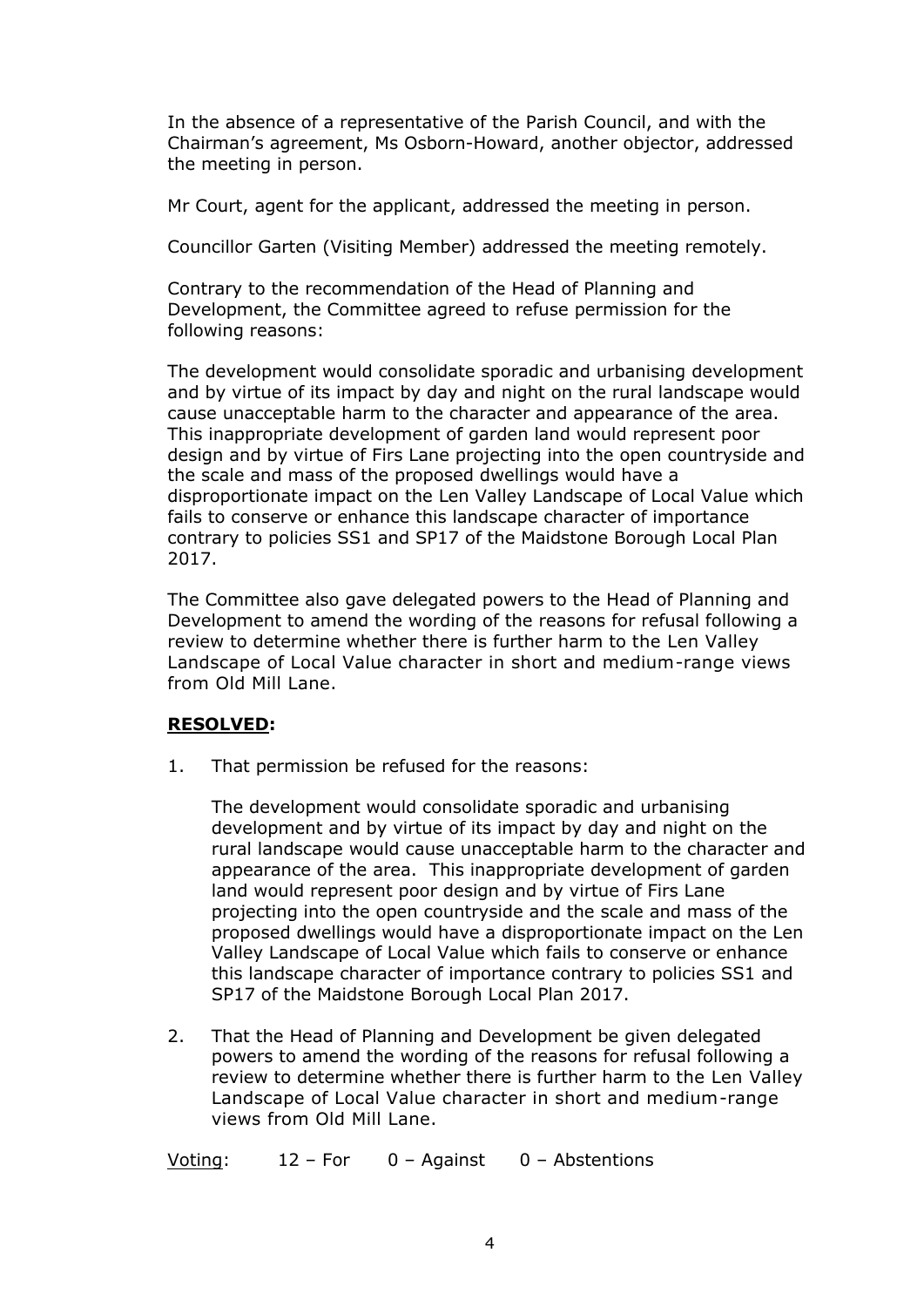In the absence of a representative of the Parish Council, and with the Chairman's agreement, Ms Osborn-Howard, another objector, addressed the meeting in person.

Mr Court, agent for the applicant, addressed the meeting in person.

Councillor Garten (Visiting Member) addressed the meeting remotely.

Contrary to the recommendation of the Head of Planning and Development, the Committee agreed to refuse permission for the following reasons:

The development would consolidate sporadic and urbanising development and by virtue of its impact by day and night on the rural landscape would cause unacceptable harm to the character and appearance of the area. This inappropriate development of garden land would represent poor design and by virtue of Firs Lane projecting into the open countryside and the scale and mass of the proposed dwellings would have a disproportionate impact on the Len Valley Landscape of Local Value which fails to conserve or enhance this landscape character of importance contrary to policies SS1 and SP17 of the Maidstone Borough Local Plan 2017.

The Committee also gave delegated powers to the Head of Planning and Development to amend the wording of the reasons for refusal following a review to determine whether there is further harm to the Len Valley Landscape of Local Value character in short and medium-range views from Old Mill Lane.

## **RESOLVED:**

1. That permission be refused for the reasons:

The development would consolidate sporadic and urbanising development and by virtue of its impact by day and night on the rural landscape would cause unacceptable harm to the character and appearance of the area. This inappropriate development of garden land would represent poor design and by virtue of Firs Lane projecting into the open countryside and the scale and mass of the proposed dwellings would have a disproportionate impact on the Len Valley Landscape of Local Value which fails to conserve or enhance this landscape character of importance contrary to policies SS1 and SP17 of the Maidstone Borough Local Plan 2017.

2. That the Head of Planning and Development be given delegated powers to amend the wording of the reasons for refusal following a review to determine whether there is further harm to the Len Valley Landscape of Local Value character in short and medium-range views from Old Mill Lane.

Voting: 12 – For 0 – Against 0 – Abstentions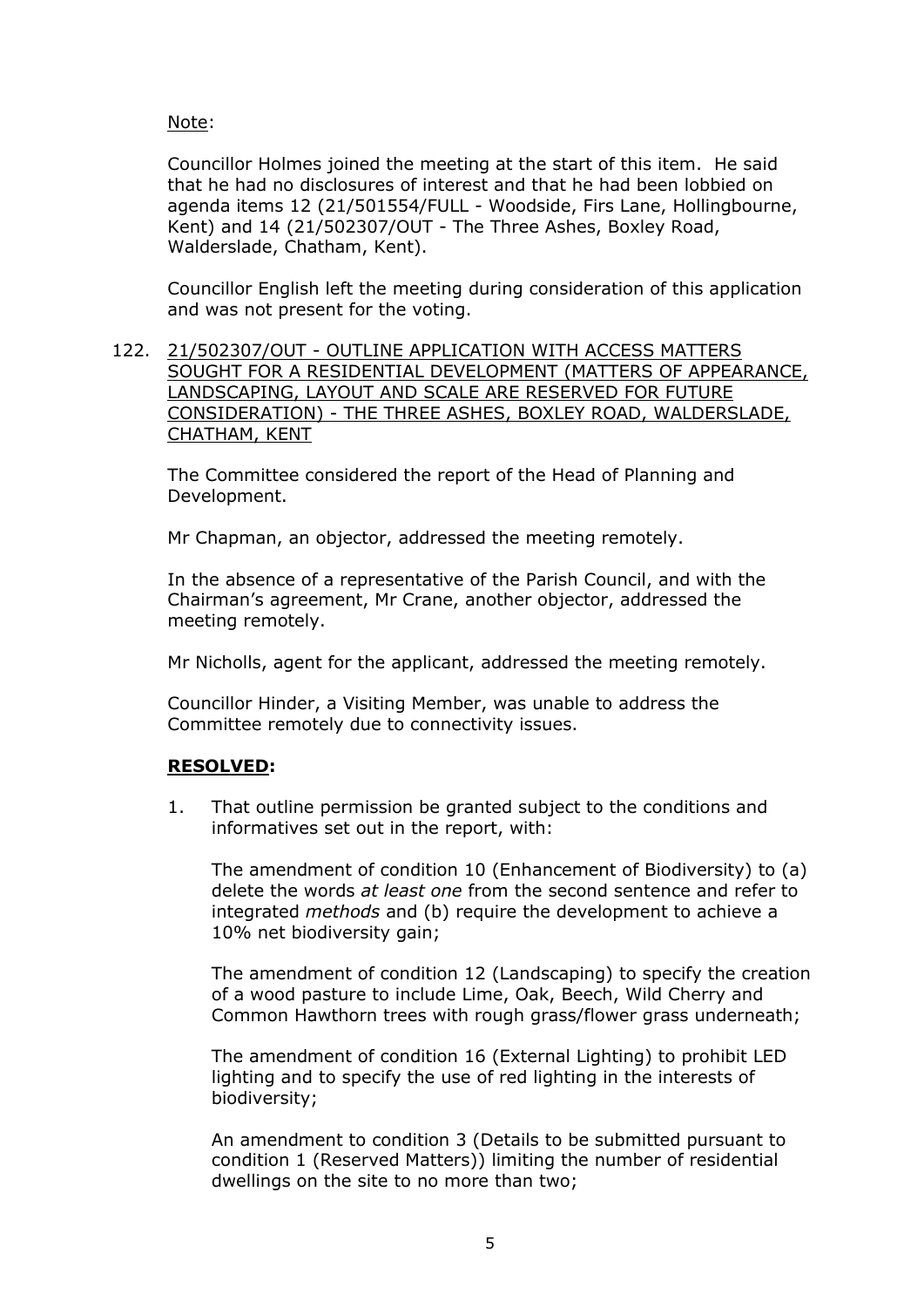## Note:

Councillor Holmes joined the meeting at the start of this item. He said that he had no disclosures of interest and that he had been lobbied on agenda items 12 (21/501554/FULL - Woodside, Firs Lane, Hollingbourne, Kent) and 14 (21/502307/OUT - The Three Ashes, Boxley Road, Walderslade, Chatham, Kent).

Councillor English left the meeting during consideration of this application and was not present for the voting.

122. 21/502307/OUT - OUTLINE APPLICATION WITH ACCESS MATTERS SOUGHT FOR A RESIDENTIAL DEVELOPMENT (MATTERS OF APPEARANCE, LANDSCAPING, LAYOUT AND SCALE ARE RESERVED FOR FUTURE CONSIDERATION) - THE THREE ASHES, BOXLEY ROAD, WALDERSLADE, CHATHAM, KENT

The Committee considered the report of the Head of Planning and Development.

Mr Chapman, an objector, addressed the meeting remotely.

In the absence of a representative of the Parish Council, and with the Chairman's agreement, Mr Crane, another objector, addressed the meeting remotely.

Mr Nicholls, agent for the applicant, addressed the meeting remotely.

Councillor Hinder, a Visiting Member, was unable to address the Committee remotely due to connectivity issues.

#### **RESOLVED:**

1. That outline permission be granted subject to the conditions and informatives set out in the report, with:

The amendment of condition 10 (Enhancement of Biodiversity) to (a) delete the words *at least one* from the second sentence and refer to integrated *methods* and (b) require the development to achieve a 10% net biodiversity gain;

The amendment of condition 12 (Landscaping) to specify the creation of a wood pasture to include Lime, Oak, Beech, Wild Cherry and Common Hawthorn trees with rough grass/flower grass underneath;

The amendment of condition 16 (External Lighting) to prohibit LED lighting and to specify the use of red lighting in the interests of biodiversity;

An amendment to condition 3 (Details to be submitted pursuant to condition 1 (Reserved Matters)) limiting the number of residential dwellings on the site to no more than two;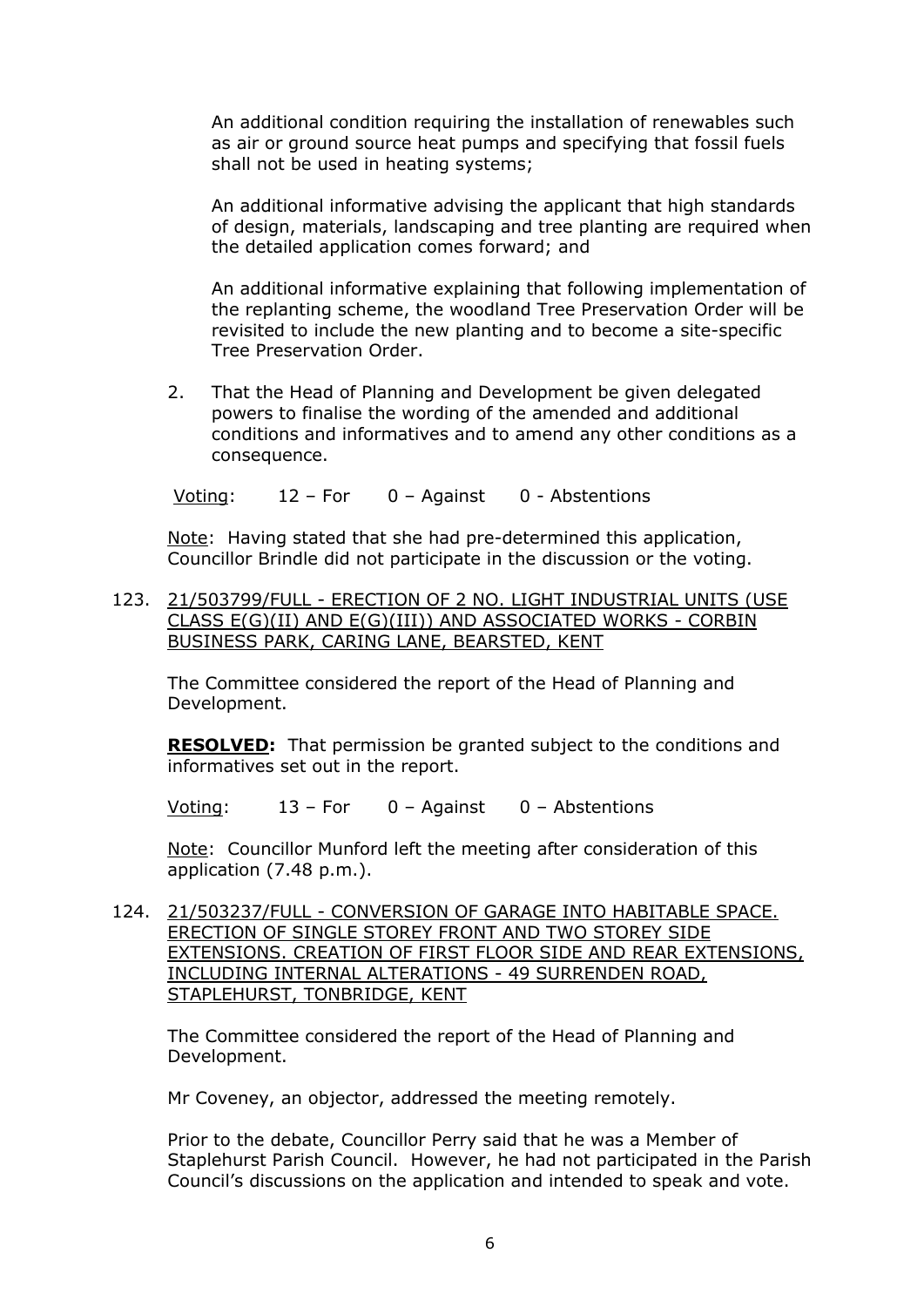An additional condition requiring the installation of renewables such as air or ground source heat pumps and specifying that fossil fuels shall not be used in heating systems;

An additional informative advising the applicant that high standards of design, materials, landscaping and tree planting are required when the detailed application comes forward; and

An additional informative explaining that following implementation of the replanting scheme, the woodland Tree Preservation Order will be revisited to include the new planting and to become a site-specific Tree Preservation Order.

2. That the Head of Planning and Development be given delegated powers to finalise the wording of the amended and additional conditions and informatives and to amend any other conditions as a consequence.

Voting: 12 – For 0 – Against 0 - Abstentions

Note: Having stated that she had pre-determined this application, Councillor Brindle did not participate in the discussion or the voting.

123. 21/503799/FULL - ERECTION OF 2 NO. LIGHT INDUSTRIAL UNITS (USE CLASS E(G)(II) AND E(G)(III)) AND ASSOCIATED WORKS - CORBIN BUSINESS PARK, CARING LANE, BEARSTED, KENT

The Committee considered the report of the Head of Planning and Development.

**RESOLVED:** That permission be granted subject to the conditions and informatives set out in the report.

Voting: 13 – For 0 – Against 0 – Abstentions

Note: Councillor Munford left the meeting after consideration of this application (7.48 p.m.).

124. 21/503237/FULL - CONVERSION OF GARAGE INTO HABITABLE SPACE. ERECTION OF SINGLE STOREY FRONT AND TWO STOREY SIDE EXTENSIONS. CREATION OF FIRST FLOOR SIDE AND REAR EXTENSIONS, INCLUDING INTERNAL ALTERATIONS - 49 SURRENDEN ROAD, STAPLEHURST, TONBRIDGE, KENT

The Committee considered the report of the Head of Planning and Development.

Mr Coveney, an objector, addressed the meeting remotely.

Prior to the debate, Councillor Perry said that he was a Member of Staplehurst Parish Council. However, he had not participated in the Parish Council's discussions on the application and intended to speak and vote.